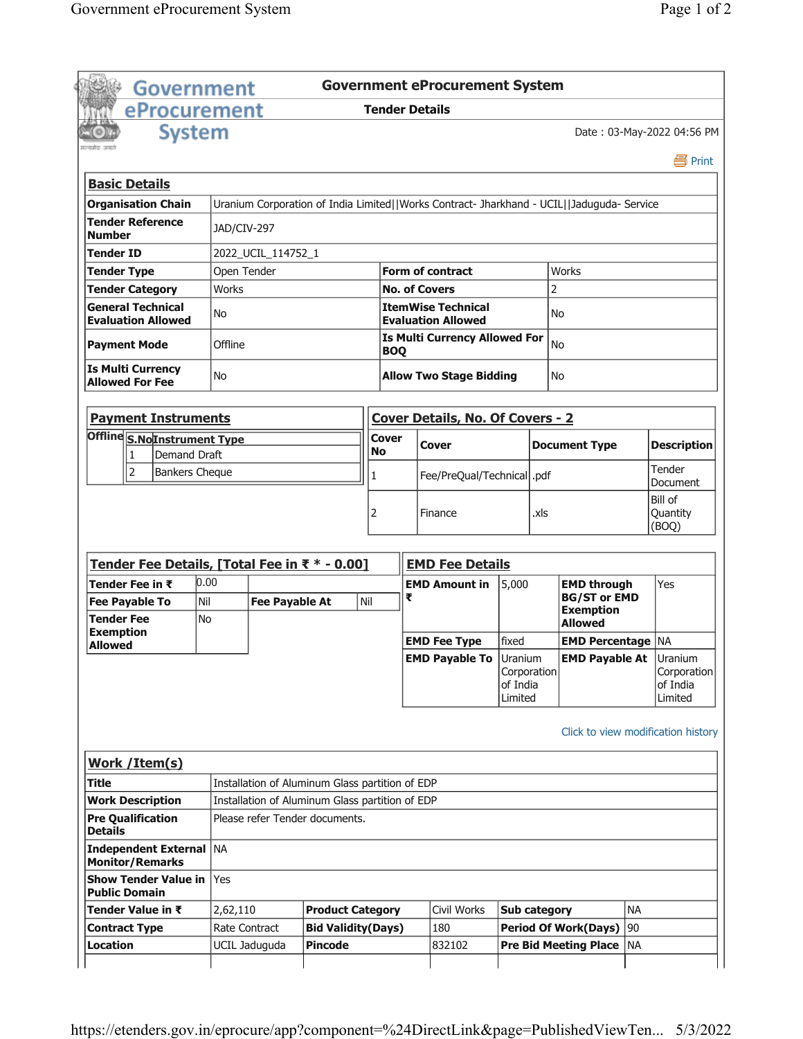|                                         | <b>Government</b>                                   |                       |                       |                                                                                   |                       |                                                    | <b>Government eProcurement System</b>                                                     |              |      |                                           |                 |                              |
|-----------------------------------------|-----------------------------------------------------|-----------------------|-----------------------|-----------------------------------------------------------------------------------|-----------------------|----------------------------------------------------|-------------------------------------------------------------------------------------------|--------------|------|-------------------------------------------|-----------------|------------------------------|
|                                         | eProcurement                                        |                       |                       |                                                                                   | <b>Tender Details</b> |                                                    |                                                                                           |              |      |                                           |                 |                              |
|                                         |                                                     | <b>System</b>         |                       |                                                                                   |                       |                                                    |                                                                                           |              |      |                                           |                 | Date: 03-May-2022 04:56 PM   |
| प्रकाशित जन्म                           |                                                     |                       |                       |                                                                                   |                       |                                                    |                                                                                           |              |      |                                           |                 |                              |
|                                         |                                                     |                       |                       |                                                                                   |                       |                                                    |                                                                                           |              |      |                                           |                 | 昌 Print                      |
| <b>Basic Details</b>                    |                                                     |                       |                       |                                                                                   |                       |                                                    |                                                                                           |              |      |                                           |                 |                              |
|                                         | <b>Organisation Chain</b>                           |                       |                       |                                                                                   |                       |                                                    | Uranium Corporation of India Limited  Works Contract- Jharkhand - UCIL  Jaduguda- Service |              |      |                                           |                 |                              |
| <b>Number</b>                           | <b>Tender Reference</b>                             | JAD/CIV-297           |                       |                                                                                   |                       |                                                    |                                                                                           |              |      |                                           |                 |                              |
| <b>Tender ID</b>                        |                                                     |                       | 2022_UCIL_114752_1    |                                                                                   |                       |                                                    |                                                                                           |              |      |                                           |                 |                              |
| <b>Tender Type</b>                      |                                                     | Open Tender           |                       |                                                                                   |                       |                                                    | <b>Form of contract</b>                                                                   |              |      | Works                                     |                 |                              |
|                                         | <b>Tender Category</b>                              | Works                 |                       |                                                                                   |                       |                                                    | <b>No. of Covers</b>                                                                      |              |      | 2                                         |                 |                              |
|                                         | <b>General Technical</b>                            | No                    |                       |                                                                                   |                       |                                                    | <b>ItemWise Technical</b>                                                                 |              |      | No                                        |                 |                              |
|                                         | <b>Evaluation Allowed</b>                           |                       |                       |                                                                                   |                       |                                                    | <b>Evaluation Allowed</b>                                                                 |              |      |                                           |                 |                              |
| <b>Payment Mode</b>                     |                                                     |                       | Offline               |                                                                                   |                       | <b>Is Multi Currency Allowed For</b><br><b>BOQ</b> |                                                                                           |              |      | <b>No</b>                                 |                 |                              |
|                                         | <b>Is Multi Currency</b>                            | No                    |                       |                                                                                   |                       | <b>Allow Two Stage Bidding</b>                     |                                                                                           |              |      | No                                        |                 |                              |
|                                         | <b>Allowed For Fee</b>                              |                       |                       |                                                                                   |                       |                                                    |                                                                                           |              |      |                                           |                 |                              |
|                                         | <b>Payment Instruments</b>                          |                       |                       |                                                                                   |                       |                                                    | <b>Cover Details, No. Of Covers - 2</b>                                                   |              |      |                                           |                 |                              |
|                                         | Offline S.NoInstrument Type                         |                       |                       |                                                                                   | Cover                 |                                                    |                                                                                           |              |      |                                           |                 |                              |
|                                         | <b>Demand Draft</b><br>1                            |                       |                       |                                                                                   | No                    |                                                    | Cover                                                                                     |              |      | <b>Document Type</b>                      |                 | <b>Description</b>           |
|                                         | $\overline{2}$                                      | <b>Bankers Cheque</b> |                       |                                                                                   | 1                     |                                                    | Fee/PreQual/Technical  .pdf                                                               |              |      |                                           |                 | Tender                       |
|                                         |                                                     |                       |                       |                                                                                   |                       |                                                    |                                                                                           |              |      |                                           |                 | Document                     |
|                                         |                                                     |                       |                       |                                                                                   |                       |                                                    |                                                                                           |              |      |                                           |                 |                              |
|                                         |                                                     |                       |                       |                                                                                   | 2                     |                                                    | Finance                                                                                   |              | xls. |                                           |                 | Bill of<br>Quantity<br>(BOQ) |
|                                         |                                                     |                       |                       |                                                                                   |                       |                                                    |                                                                                           |              |      |                                           |                 |                              |
|                                         | Tender Fee Details, [Total Fee in ₹ * - 0.00]       |                       |                       |                                                                                   |                       |                                                    | <b>EMD Fee Details</b>                                                                    |              |      |                                           |                 |                              |
|                                         | Tender Fee in ₹                                     | 0.00                  |                       |                                                                                   |                       | ₹                                                  | <b>EMD Amount in</b>                                                                      | 5,000        |      | <b>EMD through</b><br><b>BG/ST or EMD</b> |                 | Yes                          |
|                                         | <b>Fee Payable To</b>                               | Nil                   | <b>Fee Payable At</b> |                                                                                   | Nil                   |                                                    |                                                                                           |              |      | <b>Exemption</b>                          |                 |                              |
| <b>Tender Fee</b><br><b>Exemption</b>   |                                                     | No                    |                       |                                                                                   |                       |                                                    |                                                                                           |              |      | <b>Allowed</b>                            |                 |                              |
| <b>Allowed</b>                          |                                                     |                       |                       |                                                                                   |                       |                                                    | <b>EMD Fee Type</b>                                                                       | fixed        |      | <b>EMD Percentage   NA</b>                |                 |                              |
|                                         |                                                     |                       |                       |                                                                                   |                       |                                                    | <b>EMD Payable To Uranium</b>                                                             | Corporation  |      | <b>EMD Payable At Uranium</b>             |                 |                              |
|                                         |                                                     |                       |                       |                                                                                   |                       |                                                    |                                                                                           | of India     |      |                                           |                 | of India                     |
|                                         |                                                     |                       |                       |                                                                                   |                       |                                                    |                                                                                           | Limited      |      |                                           |                 | Limited                      |
|                                         |                                                     |                       |                       |                                                                                   |                       |                                                    |                                                                                           |              |      | Click to view modification history        |                 |                              |
|                                         |                                                     |                       |                       |                                                                                   |                       |                                                    |                                                                                           |              |      |                                           |                 |                              |
|                                         | Work / Item(s)                                      |                       |                       |                                                                                   |                       |                                                    |                                                                                           |              |      |                                           |                 |                              |
|                                         |                                                     |                       |                       | Installation of Aluminum Glass partition of EDP                                   |                       |                                                    |                                                                                           |              |      |                                           |                 |                              |
| Title<br><b>Details</b>                 | <b>Work Description</b><br><b>Pre Qualification</b> |                       |                       | Installation of Aluminum Glass partition of EDP<br>Please refer Tender documents. |                       |                                                    |                                                                                           |              |      |                                           |                 |                              |
|                                         | Independent External   NA<br><b>Monitor/Remarks</b> |                       |                       |                                                                                   |                       |                                                    |                                                                                           |              |      |                                           |                 |                              |
|                                         | <b>Show Tender Value in</b>                         | Yes                   |                       |                                                                                   |                       |                                                    |                                                                                           |              |      |                                           |                 | Corporation                  |
| <b>Public Domain</b>                    | Tender Value in ₹                                   | 2,62,110              |                       | <b>Product Category</b>                                                           |                       |                                                    | Civil Works                                                                               | Sub category |      |                                           | <b>NA</b>       |                              |
| <b>Contract Type</b><br><b>Location</b> |                                                     |                       | Rate Contract         | <b>Bid Validity(Days)</b><br><b>Pincode</b>                                       |                       |                                                    | 180<br>832102                                                                             |              |      | <b>Period Of Work(Days)</b>               | 90<br><b>NA</b> |                              |